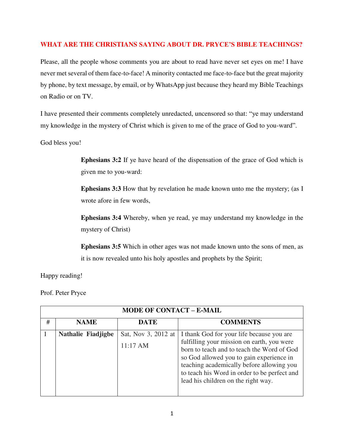## **WHAT ARE THE CHRISTIANS SAYING ABOUT DR. PRYCE'S BIBLE TEACHINGS?**

Please, all the people whose comments you are about to read have never set eyes on me! I have never met several of them face-to-face! A minority contacted me face-to-face but the great majority by phone, by text message, by email, or by WhatsApp just because they heard my Bible Teachings on Radio or on TV.

I have presented their comments completely unredacted, uncensored so that: "ye may understand my knowledge in the mystery of Christ which is given to me of the grace of God to you-ward".

God bless you!

**Ephesians 3:2** If ye have heard of the dispensation of the grace of God which is given me to you-ward:

**Ephesians 3:3** How that by revelation he made known unto me the mystery; (as I wrote afore in few words,

**Ephesians 3:4** Whereby, when ye read, ye may understand my knowledge in the mystery of Christ)

**Ephesians 3:5** Which in other ages was not made known unto the sons of men, as it is now revealed unto his holy apostles and prophets by the Spirit;

Happy reading!

Prof. Peter Pryce

| <b>MODE OF CONTACT - E-MAIL</b> |                           |                                   |                                                                                                                                                                                                                                                                                                                       |
|---------------------------------|---------------------------|-----------------------------------|-----------------------------------------------------------------------------------------------------------------------------------------------------------------------------------------------------------------------------------------------------------------------------------------------------------------------|
| #                               | <b>NAME</b>               | <b>DATE</b>                       | <b>COMMENTS</b>                                                                                                                                                                                                                                                                                                       |
|                                 | <b>Nathalie Fiadjigbe</b> | Sat, Nov 3, 2012 at<br>$11:17$ AM | I thank God for your life because you are<br>fulfilling your mission on earth, you were<br>born to teach and to teach the Word of God<br>so God allowed you to gain experience in<br>teaching academically before allowing you<br>to teach his Word in order to be perfect and<br>lead his children on the right way. |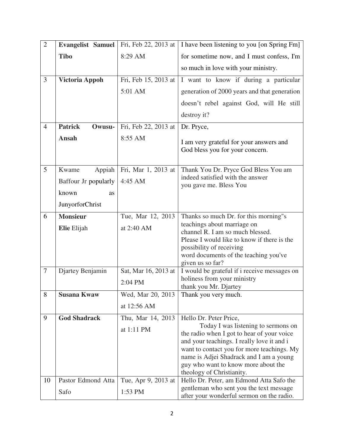| $\overline{2}$ | <b>Evangelist Samuel</b> | Fri, Feb 22, 2013 at | I have been listening to you [on Spring Fm]                                           |
|----------------|--------------------------|----------------------|---------------------------------------------------------------------------------------|
|                | <b>Tibo</b>              | 8:29 AM              | for sometime now, and I must confess, I'm                                             |
|                |                          |                      | so much in love with your ministry.                                                   |
| 3              | <b>Victoria Appoh</b>    | Fri, Feb 15, 2013 at | I want to know if during a particular                                                 |
|                |                          | 5:01 AM              | generation of 2000 years and that generation                                          |
|                |                          |                      | doesn't rebel against God, will He still                                              |
|                |                          |                      | destroy it?                                                                           |
| $\overline{4}$ | <b>Patrick</b><br>Owusu- | Fri, Feb 22, 2013 at | Dr. Pryce,                                                                            |
|                | <b>Ansah</b>             | 8:55 AM              | I am very grateful for your answers and<br>God bless you for your concern.            |
|                |                          |                      |                                                                                       |
| 5              | Kwame<br>Appiah          | Fri, Mar 1, 2013 at  | Thank You Dr. Pryce God Bless You am                                                  |
|                | Baffour Jr popularly     | 4:45 AM              | indeed satisfied with the answer<br>you gave me. Bless You                            |
|                | known<br><b>as</b>       |                      |                                                                                       |
|                | JunyorforChrist          |                      |                                                                                       |
| 6              | <b>Monsieur</b>          | Tue, Mar 12, 2013    | Thanks so much Dr. for this morning"s                                                 |
|                | Elie Elijah              | at 2:40 AM           | teachings about marriage on<br>channel R. I am so much blessed.                       |
|                |                          |                      | Please I would like to know if there is the                                           |
|                |                          |                      | possibility of receiving<br>word documents of the teaching you've                     |
|                |                          |                      | given us so far?                                                                      |
| $\overline{7}$ | Djartey Benjamin         | Sat, Mar 16, 2013 at | I would be grateful if i receive messages on                                          |
|                |                          | 2:04 PM              | holiness from your ministry<br>thank you Mr. Djartey                                  |
| 8              | <b>Susana Kwaw</b>       | Wed, Mar 20, 2013    | Thank you very much.                                                                  |
|                |                          | at 12:56 AM          |                                                                                       |
| 9              | <b>God Shadrack</b>      | Thu, Mar 14, 2013    | Hello Dr. Peter Price,                                                                |
|                |                          | at 1:11 PM           | Today I was listening to sermons on<br>the radio when I got to hear of your voice     |
|                |                          |                      | and your teachings. I really love it and i                                            |
|                |                          |                      | want to contact you for more teachings. My<br>name is Adjei Shadrack and I am a young |
|                |                          |                      | guy who want to know more about the                                                   |
| 10             |                          |                      | theology of Christianity.                                                             |
|                | Pastor Edmond Atta       | Tue, Apr 9, 2013 at  | Hello Dr. Peter, am Edmond Atta Safo the<br>gentleman who sent you the text message   |
|                | Safo                     | 1:53 PM              | after your wonderful sermon on the radio.                                             |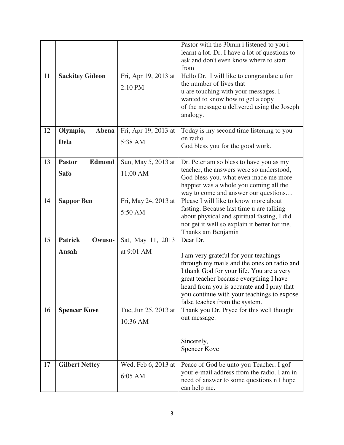|    |                                |                      | Pastor with the 30min i listened to you i                                                |
|----|--------------------------------|----------------------|------------------------------------------------------------------------------------------|
|    |                                |                      | learnt a lot. Dr. I have a lot of questions to<br>ask and don't even know where to start |
|    |                                |                      | from                                                                                     |
| 11 | <b>Sackitey Gideon</b>         | Fri, Apr 19, 2013 at | Hello Dr. I will like to congratulate u for                                              |
|    |                                | 2:10 PM              | the number of lives that<br>u are touching with your messages. I                         |
|    |                                |                      | wanted to know how to get a copy                                                         |
|    |                                |                      | of the message u delivered using the Joseph                                              |
|    |                                |                      | analogy.                                                                                 |
| 12 | Olympio,<br>Abena              | Fri, Apr 19, 2013 at | Today is my second time listening to you                                                 |
|    | <b>Dela</b>                    | 5:38 AM              | on radio.<br>God bless you for the good work.                                            |
|    |                                |                      |                                                                                          |
| 13 | <b>Pastor</b><br><b>Edmond</b> | Sun, May 5, 2013 at  | Dr. Peter am so bless to have you as my                                                  |
|    | <b>Safo</b>                    | 11:00 AM             | teacher, the answers were so understood,<br>God bless you, what even made me more        |
|    |                                |                      | happier was a whole you coming all the                                                   |
|    |                                |                      | way to come and answer our questions                                                     |
| 14 | <b>Sappor Ben</b>              | Fri, May 24, 2013 at | Please I will like to know more about<br>fasting. Because last time u are talking        |
|    |                                | 5:50 AM              | about physical and spiritual fasting, I did                                              |
|    |                                |                      | not get it well so explain it better for me.                                             |
| 15 | <b>Patrick</b>                 |                      | Thanks am Benjamin                                                                       |
|    | Owusu-                         | Sat, May 11, 2013    | Dear Dr,                                                                                 |
|    | <b>Ansah</b>                   | at 9:01 AM           | I am very grateful for your teachings                                                    |
|    |                                |                      | through my mails and the ones on radio and                                               |
|    |                                |                      | I thank God for your life. You are a very<br>great teacher because everything I have     |
|    |                                |                      | heard from you is accurate and I pray that                                               |
|    |                                |                      | you continue with your teachings to expose                                               |
| 16 | <b>Spencer Kove</b>            | Tue, Jun 25, 2013 at | false teaches from the system.<br>Thank you Dr. Pryce for this well thought              |
|    |                                |                      | out message.                                                                             |
|    |                                | 10:36 AM             |                                                                                          |
|    |                                |                      | Sincerely,                                                                               |
|    |                                |                      | Spencer Kove                                                                             |
|    |                                |                      |                                                                                          |
| 17 | <b>Gilbert Nettey</b>          | Wed, Feb 6, 2013 at  | Peace of God be unto you Teacher. I gof<br>your e-mail address from the radio. I am in   |
|    |                                | 6:05 AM              | need of answer to some questions n I hope                                                |
|    |                                |                      | can help me.                                                                             |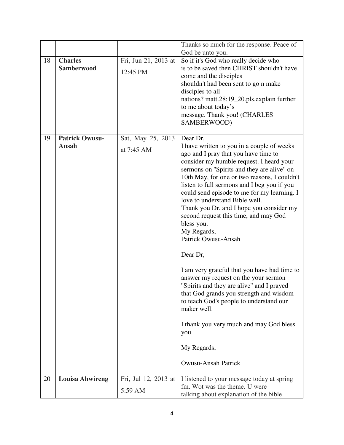|    |                                     |                                  | Thanks so much for the response. Peace of<br>God be unto you.                                                                                                                                                                                                                                                                                                                                                                                                                                                                                                                                                                                                                                                                                                                                                                                                           |
|----|-------------------------------------|----------------------------------|-------------------------------------------------------------------------------------------------------------------------------------------------------------------------------------------------------------------------------------------------------------------------------------------------------------------------------------------------------------------------------------------------------------------------------------------------------------------------------------------------------------------------------------------------------------------------------------------------------------------------------------------------------------------------------------------------------------------------------------------------------------------------------------------------------------------------------------------------------------------------|
| 18 | <b>Charles</b><br><b>Samberwood</b> | Fri, Jun 21, 2013 at<br>12:45 PM | So if it's God who really decide who<br>is to be saved then CHRIST shouldn't have<br>come and the disciples<br>shouldn't had been sent to go n make<br>disciples to all<br>nations? matt.28:19_20.pls.explain further<br>to me about today's<br>message. Thank you! (CHARLES<br>SAMBERWOOD)                                                                                                                                                                                                                                                                                                                                                                                                                                                                                                                                                                             |
| 19 | <b>Patrick Owusu-</b><br>Ansah      | Sat, May 25, 2013<br>at 7:45 AM  | Dear Dr,<br>I have written to you in a couple of weeks<br>ago and I pray that you have time to<br>consider my humble request. I heard your<br>sermons on "Spirits and they are alive" on<br>10th May, for one or two reasons, I couldn't<br>listen to full sermons and I beg you if you<br>could send episode to me for my learning. I<br>love to understand Bible well.<br>Thank you Dr. and I hope you consider my<br>second request this time, and may God<br>bless you.<br>My Regards,<br>Patrick Owusu-Ansah<br>Dear Dr,<br>I am very grateful that you have had time to<br>answer my request on the your sermon<br>"Spirits and they are alive" and I prayed<br>that God grands you strength and wisdom<br>to teach God's people to understand our<br>maker well.<br>I thank you very much and may God bless<br>you.<br>My Regards,<br><b>Owusu-Ansah Patrick</b> |
| 20 | <b>Louisa Ahwireng</b>              | Fri, Jul 12, 2013 at<br>5:59 AM  | I listened to your message today at spring<br>fm. Wot was the theme. U were<br>talking about explanation of the bible                                                                                                                                                                                                                                                                                                                                                                                                                                                                                                                                                                                                                                                                                                                                                   |